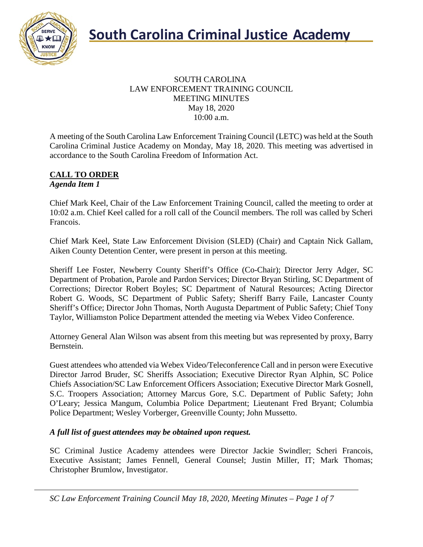

#### SOUTH CAROLINA LAW ENFORCEMENT TRAINING COUNCIL MEETING MINUTES May 18, 2020 10:00 a.m.

A meeting of the South Carolina Law Enforcement Training Council (LETC) was held at the South Carolina Criminal Justice Academy on Monday, May 18, 2020. This meeting was advertised in accordance to the South Carolina Freedom of Information Act.

#### **CALL TO ORDER** *Agenda Item 1*

Chief Mark Keel, Chair of the Law Enforcement Training Council, called the meeting to order at 10:02 a.m. Chief Keel called for a roll call of the Council members. The roll was called by Scheri Francois.

Chief Mark Keel, State Law Enforcement Division (SLED) (Chair) and Captain Nick Gallam, Aiken County Detention Center, were present in person at this meeting.

Sheriff Lee Foster, Newberry County Sheriff's Office (Co-Chair); Director Jerry Adger, SC Department of Probation, Parole and Pardon Services; Director Bryan Stirling, SC Department of Corrections; Director Robert Boyles; SC Department of Natural Resources; Acting Director Robert G. Woods, SC Department of Public Safety; Sheriff Barry Faile, Lancaster County Sheriff's Office; Director John Thomas, North Augusta Department of Public Safety; Chief Tony Taylor, Williamston Police Department attended the meeting via Webex Video Conference.

Attorney General Alan Wilson was absent from this meeting but was represented by proxy, Barry Bernstein.

Guest attendees who attended via Webex Video/Teleconference Call and in person were Executive Director Jarrod Bruder, SC Sheriffs Association; Executive Director Ryan Alphin, SC Police Chiefs Association/SC Law Enforcement Officers Association; Executive Director Mark Gosnell, S.C. Troopers Association; Attorney Marcus Gore, S.C. Department of Public Safety; John O'Leary; Jessica Mangum, Columbia Police Department; Lieutenant Fred Bryant; Columbia Police Department; Wesley Vorberger, Greenville County; John Mussetto.

#### *A full list of guest attendees may be obtained upon request.*

SC Criminal Justice Academy attendees were Director Jackie Swindler; Scheri Francois, Executive Assistant; James Fennell, General Counsel; Justin Miller, IT; Mark Thomas; Christopher Brumlow, Investigator.

*SC Law Enforcement Training Council May 18, 2020, Meeting Minutes – Page 1 of 7*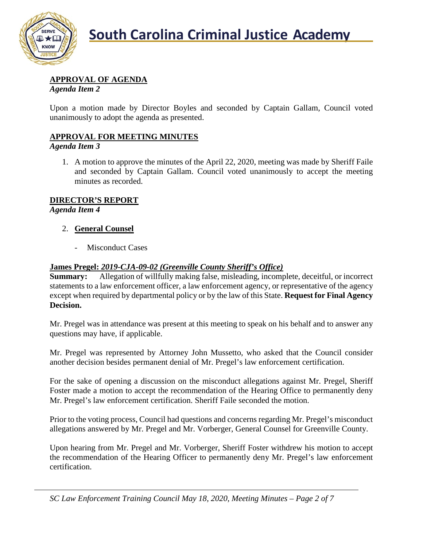

# **APPROVAL OF AGENDA**

*Agenda Item 2*

Upon a motion made by Director Boyles and seconded by Captain Gallam, Council voted unanimously to adopt the agenda as presented.

## **APPROVAL FOR MEETING MINUTES**

#### *Agenda Item 3*

1. A motion to approve the minutes of the April 22, 2020, meeting was made by Sheriff Faile and seconded by Captain Gallam. Council voted unanimously to accept the meeting minutes as recorded.

## **DIRECTOR'S REPORT**

*Agenda Item 4*

#### 2. **General Counsel**

- Misconduct Cases

#### **James Pregel:** *2019-CJA-09-02 (Greenville County Sheriff's Office)*

**Summary:** Allegation of willfully making false, misleading, incomplete, deceitful, or incorrect statements to a law enforcement officer, a law enforcement agency, or representative of the agency except when required by departmental policy or by the law of this State. **Request for Final Agency Decision.**

Mr. Pregel was in attendance was present at this meeting to speak on his behalf and to answer any questions may have, if applicable.

Mr. Pregel was represented by Attorney John Mussetto, who asked that the Council consider another decision besides permanent denial of Mr. Pregel's law enforcement certification.

For the sake of opening a discussion on the misconduct allegations against Mr. Pregel, Sheriff Foster made a motion to accept the recommendation of the Hearing Office to permanently deny Mr. Pregel's law enforcement certification. Sheriff Faile seconded the motion.

Prior to the voting process, Council had questions and concerns regarding Mr. Pregel's misconduct allegations answered by Mr. Pregel and Mr. Vorberger, General Counsel for Greenville County.

Upon hearing from Mr. Pregel and Mr. Vorberger, Sheriff Foster withdrew his motion to accept the recommendation of the Hearing Officer to permanently deny Mr. Pregel's law enforcement certification.

*SC Law Enforcement Training Council May 18, 2020, Meeting Minutes – Page 2 of 7*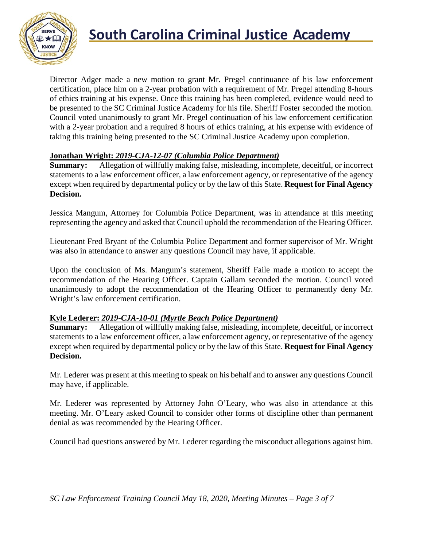

# **South Carolina Criminal Justice Academy**

Director Adger made a new motion to grant Mr. Pregel continuance of his law enforcement certification, place him on a 2-year probation with a requirement of Mr. Pregel attending 8-hours of ethics training at his expense. Once this training has been completed, evidence would need to be presented to the SC Criminal Justice Academy for his file. Sheriff Foster seconded the motion. Council voted unanimously to grant Mr. Pregel continuation of his law enforcement certification with a 2-year probation and a required 8 hours of ethics training, at his expense with evidence of taking this training being presented to the SC Criminal Justice Academy upon completion.

#### **Jonathan Wright:** *2019-CJA-12-07 (Columbia Police Department)*

**Summary:** Allegation of willfully making false, misleading, incomplete, deceitful, or incorrect statements to a law enforcement officer, a law enforcement agency, or representative of the agency except when required by departmental policy or by the law of this State. **Request for Final Agency Decision.**

Jessica Mangum, Attorney for Columbia Police Department, was in attendance at this meeting representing the agency and asked that Council uphold the recommendation of the Hearing Officer.

Lieutenant Fred Bryant of the Columbia Police Department and former supervisor of Mr. Wright was also in attendance to answer any questions Council may have, if applicable.

Upon the conclusion of Ms. Mangum's statement, Sheriff Faile made a motion to accept the recommendation of the Hearing Officer. Captain Gallam seconded the motion. Council voted unanimously to adopt the recommendation of the Hearing Officer to permanently deny Mr. Wright's law enforcement certification.

#### **Kyle Lederer:** *2019-CJA-10-01 (Myrtle Beach Police Department)*

**Summary:** Allegation of willfully making false, misleading, incomplete, deceitful, or incorrect statements to a law enforcement officer, a law enforcement agency, or representative of the agency except when required by departmental policy or by the law of this State. **Request for Final Agency Decision.**

Mr. Lederer was present at this meeting to speak on his behalf and to answer any questions Council may have, if applicable.

Mr. Lederer was represented by Attorney John O'Leary, who was also in attendance at this meeting. Mr. O'Leary asked Council to consider other forms of discipline other than permanent denial as was recommended by the Hearing Officer.

Council had questions answered by Mr. Lederer regarding the misconduct allegations against him.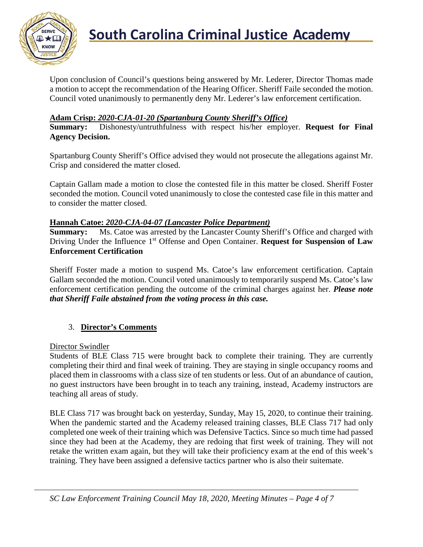

Upon conclusion of Council's questions being answered by Mr. Lederer, Director Thomas made a motion to accept the recommendation of the Hearing Officer. Sheriff Faile seconded the motion. Council voted unanimously to permanently deny Mr. Lederer's law enforcement certification.

## **Adam Crisp:** *2020-CJA-01-20 (Spartanburg County Sheriff's Office)*

**Summary:** Dishonesty/untruthfulness with respect his/her employer. **Request for Final Agency Decision.**

Spartanburg County Sheriff's Office advised they would not prosecute the allegations against Mr. Crisp and considered the matter closed.

Captain Gallam made a motion to close the contested file in this matter be closed. Sheriff Foster seconded the motion. Council voted unanimously to close the contested case file in this matter and to consider the matter closed.

#### **Hannah Catoe:** *2020-CJA-04-07 (Lancaster Police Department)*

**Summary:** Ms. Catoe was arrested by the Lancaster County Sheriff's Office and charged with Driving Under the Influence 1<sup>st</sup> Offense and Open Container. **Request for Suspension of Law Enforcement Certification**

Sheriff Foster made a motion to suspend Ms. Catoe's law enforcement certification. Captain Gallam seconded the motion. Council voted unanimously to temporarily suspend Ms. Catoe's law enforcement certification pending the outcome of the criminal charges against her. *Please note that Sheriff Faile abstained from the voting process in this case.*

## 3. **Director's Comments**

Director Swindler

Students of BLE Class 715 were brought back to complete their training. They are currently completing their third and final week of training. They are staying in single occupancy rooms and placed them in classrooms with a class size of ten students or less. Out of an abundance of caution, no guest instructors have been brought in to teach any training, instead, Academy instructors are teaching all areas of study.

BLE Class 717 was brought back on yesterday, Sunday, May 15, 2020, to continue their training. When the pandemic started and the Academy released training classes, BLE Class 717 had only completed one week of their training which was Defensive Tactics. Since so much time had passed since they had been at the Academy, they are redoing that first week of training. They will not retake the written exam again, but they will take their proficiency exam at the end of this week's training. They have been assigned a defensive tactics partner who is also their suitemate.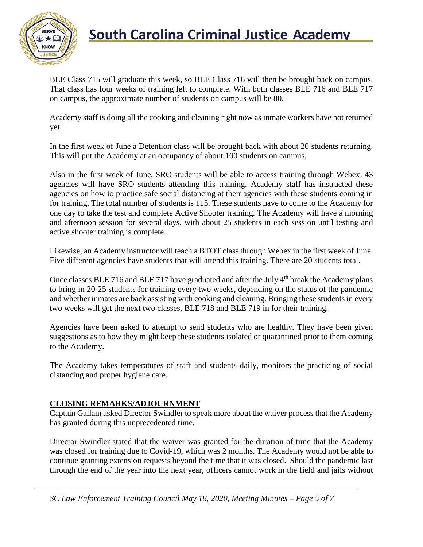

# **South Carolina Criminal Justice Academy**<br>KNOW

BLE Class 715 will graduate this week, so BLE Class 716 will then be brought back on campus. That class has four weeks of training left to complete. With both classes BLE 716 and BLE 717 on campus, the approximate number of students on campus will be 80.

Academy staff is doing all the cooking and cleaning right now as inmate workers have not returned yet.

In the first week of June a Detention class will be brought back with about 20 students returning. This will put the Academy at an occupancy of about 100 students on campus.

Also in the first week of June, SRO students will be able to access training through Webex. 43 agencies will have SRO students attending this training. Academy staff has instructed these agencies on how to practice safe social distancing at their agencies with these students coming in for training. The total number of students is 115. These students have to come to the Academy for one day to take the test and complete Active Shooter training. The Academy will have a morning and afternoon session for several days, with about 25 students in each session until testing and active shooter training is complete.

Likewise, an Academy instructor will teach a BTOT class through Webex in the first week of June. Five different agencies have students that will attend this training. There are 20 students total.

Once classes BLE 716 and BLE 717 have graduated and after the July 4<sup>th</sup> break the Academy plans to bring in 20-25 students for training every two weeks, depending on the status of the pandemic and whether inmates are back assisting with cooking and cleaning. Bringing these students in every two weeks will get the next two classes, BLE 718 and BLE 719 in for their training.

Agencies have been asked to attempt to send students who are healthy. They have been given suggestions as to how they might keep these students isolated or quarantined prior to them coming to the Academy.

The Academy takes temperatures of staff and students daily, monitors the practicing of social distancing and proper hygiene care.

## **CLOSING REMARKS/ADJOURNMENT**

Captain Gallam asked Director Swindler to speak more about the waiver process that the Academy has granted during this unprecedented time.

Director Swindler stated that the waiver was granted for the duration of time that the Academy was closed for training due to Covid-19, which was 2 months. The Academy would not be able to continue granting extension requests beyond the time that it was closed. Should the pandemic last through the end of the year into the next year, officers cannot work in the field and jails without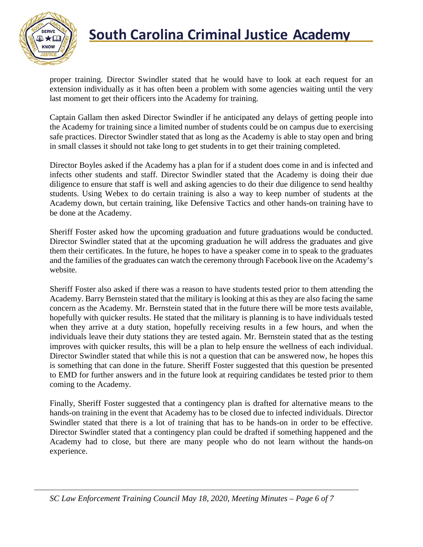

# **South Carolina Criminal Justice Academy**<br>KNOW

proper training. Director Swindler stated that he would have to look at each request for an extension individually as it has often been a problem with some agencies waiting until the very last moment to get their officers into the Academy for training.

Captain Gallam then asked Director Swindler if he anticipated any delays of getting people into the Academy for training since a limited number of students could be on campus due to exercising safe practices. Director Swindler stated that as long as the Academy is able to stay open and bring in small classes it should not take long to get students in to get their training completed.

Director Boyles asked if the Academy has a plan for if a student does come in and is infected and infects other students and staff. Director Swindler stated that the Academy is doing their due diligence to ensure that staff is well and asking agencies to do their due diligence to send healthy students. Using Webex to do certain training is also a way to keep number of students at the Academy down, but certain training, like Defensive Tactics and other hands-on training have to be done at the Academy.

Sheriff Foster asked how the upcoming graduation and future graduations would be conducted. Director Swindler stated that at the upcoming graduation he will address the graduates and give them their certificates. In the future, he hopes to have a speaker come in to speak to the graduates and the families of the graduates can watch the ceremony through Facebook live on the Academy's website.

Sheriff Foster also asked if there was a reason to have students tested prior to them attending the Academy. Barry Bernstein stated that the military is looking at this as they are also facing the same concern as the Academy. Mr. Bernstein stated that in the future there will be more tests available, hopefully with quicker results. He stated that the military is planning is to have individuals tested when they arrive at a duty station, hopefully receiving results in a few hours, and when the individuals leave their duty stations they are tested again. Mr. Bernstein stated that as the testing improves with quicker results, this will be a plan to help ensure the wellness of each individual. Director Swindler stated that while this is not a question that can be answered now, he hopes this is something that can done in the future. Sheriff Foster suggested that this question be presented to EMD for further answers and in the future look at requiring candidates be tested prior to them coming to the Academy.

Finally, Sheriff Foster suggested that a contingency plan is drafted for alternative means to the hands-on training in the event that Academy has to be closed due to infected individuals. Director Swindler stated that there is a lot of training that has to be hands-on in order to be effective. Director Swindler stated that a contingency plan could be drafted if something happened and the Academy had to close, but there are many people who do not learn without the hands-on experience.